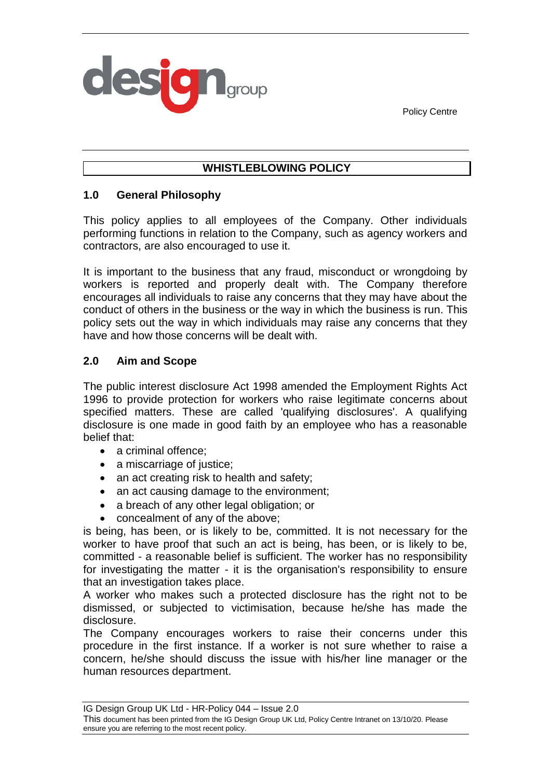



# **WHISTLEBLOWING POLICY**

## **1.0 General Philosophy**

This policy applies to all employees of the Company. Other individuals performing functions in relation to the Company, such as agency workers and contractors, are also encouraged to use it.

It is important to the business that any fraud, misconduct or wrongdoing by workers is reported and properly dealt with. The Company therefore encourages all individuals to raise any concerns that they may have about the conduct of others in the business or the way in which the business is run. This policy sets out the way in which individuals may raise any concerns that they have and how those concerns will be dealt with.

## **2.0 Aim and Scope**

The public interest disclosure Act 1998 amended the Employment Rights Act 1996 to provide protection for workers who raise legitimate concerns about specified matters. These are called 'qualifying disclosures'. A qualifying disclosure is one made in good faith by an employee who has a reasonable belief that:

- a criminal offence:
- a miscarriage of justice;
- an act creating risk to health and safety;
- an act causing damage to the environment;
- a breach of any other legal obligation; or
- concealment of any of the above;

is being, has been, or is likely to be, committed. It is not necessary for the worker to have proof that such an act is being, has been, or is likely to be, committed - a reasonable belief is sufficient. The worker has no responsibility for investigating the matter - it is the organisation's responsibility to ensure that an investigation takes place.

A worker who makes such a protected disclosure has the right not to be dismissed, or subjected to victimisation, because he/she has made the disclosure.

The Company encourages workers to raise their concerns under this procedure in the first instance. If a worker is not sure whether to raise a concern, he/she should discuss the issue with his/her line manager or the human resources department.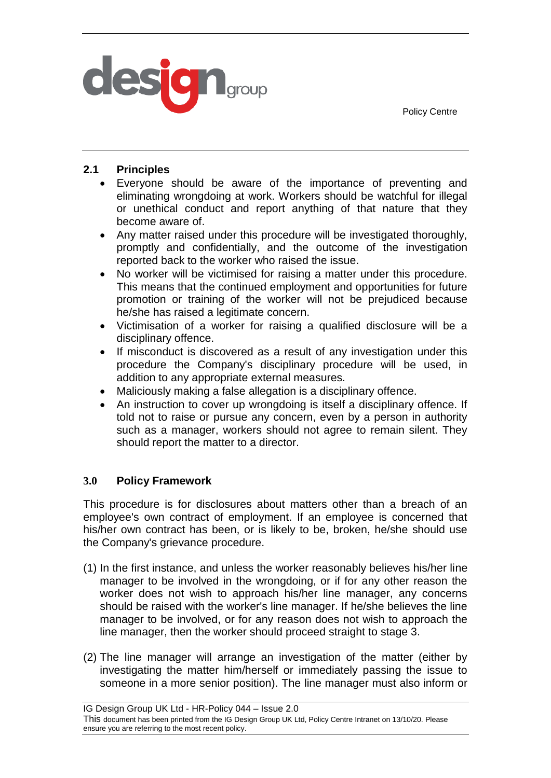Policy Centre



# **2.1 Principles**

- Everyone should be aware of the importance of preventing and eliminating wrongdoing at work. Workers should be watchful for illegal or unethical conduct and report anything of that nature that they become aware of.
- Any matter raised under this procedure will be investigated thoroughly, promptly and confidentially, and the outcome of the investigation reported back to the worker who raised the issue.
- No worker will be victimised for raising a matter under this procedure. This means that the continued employment and opportunities for future promotion or training of the worker will not be prejudiced because he/she has raised a legitimate concern.
- Victimisation of a worker for raising a qualified disclosure will be a disciplinary offence.
- If misconduct is discovered as a result of any investigation under this procedure the Company's disciplinary procedure will be used, in addition to any appropriate external measures.
- Maliciously making a false allegation is a disciplinary offence.
- An instruction to cover up wrongdoing is itself a disciplinary offence. If told not to raise or pursue any concern, even by a person in authority such as a manager, workers should not agree to remain silent. They should report the matter to a director.

## **3.0 Policy Framework**

This procedure is for disclosures about matters other than a breach of an employee's own contract of employment. If an employee is concerned that his/her own contract has been, or is likely to be, broken, he/she should use the Company's grievance procedure.

- (1) In the first instance, and unless the worker reasonably believes his/her line manager to be involved in the wrongdoing, or if for any other reason the worker does not wish to approach his/her line manager, any concerns should be raised with the worker's line manager. If he/she believes the line manager to be involved, or for any reason does not wish to approach the line manager, then the worker should proceed straight to stage 3.
- (2) The line manager will arrange an investigation of the matter (either by investigating the matter him/herself or immediately passing the issue to someone in a more senior position). The line manager must also inform or